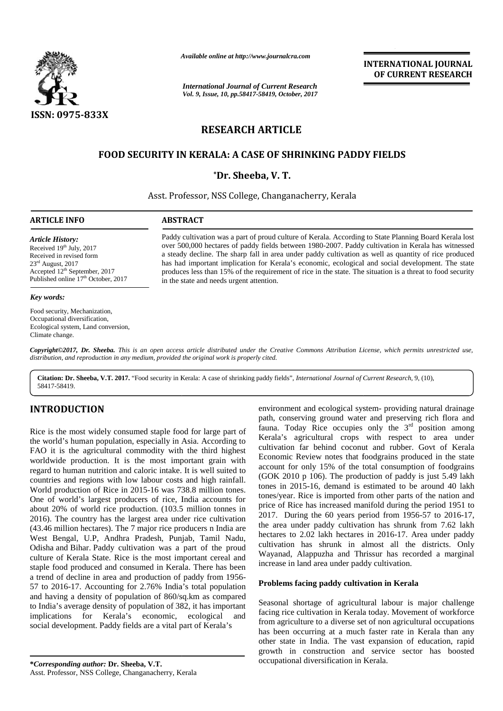

*Available online at http://www.journalcra.com*

*International Journal of Current Research Vol. 9, Issue, 10, pp.58417-58419, October, 2017* **INTERNATIONAL JOURNAL OF CURRENT RESEARCH**

# **RESEARCH ARTICLE**

# **FOOD SECURITY IN KERALA: A CASE OF SHRINKING PADDY FIELDS SHRINKING PADDY**

## **\*Dr. Sheeba, V. T.**

Asst. Professor, NSS College, Changanacherry, Kerala

## **ARTICLE INFO**

*Article History:* Received 19<sup>th</sup> July, 2017 Received in revised form  $23<sup>rd</sup>$  August, 2017 Accepted 12<sup>th</sup> September, 2017 Published online 17<sup>th</sup> October, 2017

#### *Key words:*

Food security, Mechanization, Occupational diversification, Ecological system, Land conversion, Climate change.

Paddy cultivation was a part of proud culture of Kerala. According to State Planning Board Kerala lost Paddy cultivation was a part of proud culture of Kerala. According to State Planning Board Kerala lost<br>over 500,000 hectares of paddy fields between 1980-2007. Paddy cultivation in Kerala has witnessed a steady decline. The sharp fall in area under paddy cultivation as well as quantity of rice produced has had important implication for Kerala's economic, ecological and social development. The state produces less than 15% of the requirement of rice in the state. The situation is a threat to food security in the state and needs urgent attention. in the state and needs urgent attention.

**Copyright©2017, Dr. Sheeba.** This is an open access article distributed under the Creative Commons Attribution License, which permits unrestricted use,<br>distribution, and reproduction in any medium, provided the original w *distribution, and reproduction in any medium, provided the original work is properly cited.*

**Citation: Dr. Sheeba, V.T. 2017.** "Food security in Kerala: A case of shrinking paddy fields", *International Journal of Current Research*, 9, (10), 58417-58419.

# **INTRODUCTION INTRODUCTION**

Rice is the most widely consumed staple food for large part of  $\frac{1}{\epsilon}$ the world's human population, especially in Asia. According to  $\mathbb{R}^{\text{eral}}$ FAO it is the agricultural commodity with the third highest FAO it is the agricultural commodity with the third highest worldwide production. It is the most important grain with Econ regard to human nutrition and caloric intake. It is well suited to countries and regions with low labour costs and high rainfall. World production of Rice in 2015-16 was 738.8 million tones. One of world's largest producers of rice, India accounts for <sup>to</sup> about 20% of world rice production. (103.5 million tonnes in  $\frac{p_1}{p_2}$ 2016). The country has the largest area under rice cultivation 2016). The country has the largest area under rice cultivation  $(43.46 \text{ million hectares})$ . The 7 major rice producers n India are West Bengal, U.P, Andhra Pradesh, Punjab, Tamil Nadu, West Bengal, U.P, Andhra Pradesh, Punjab, Tamil Nadu,<br>Odisha and Bihar. Paddy cultivation was a part of the proud culture of Kerala State. Rice is the most important cereal and staple food produced and consumed in Kerala. There has been a trend of decline in area and production of paddy from 1956- 57 to 2016-17. Accounting for 2.76% India's total population  $\begin{bmatrix} \text{r} & \text{r} & \text{r} \\ \text{r} & \text{r} & \text{r} \end{bmatrix}$ and having a density of population of 860/sq.km as compared to India's average density of population of 382, it has important to India's average density of population of 382, it has important<br>implications for Kerala's economic, ecological and facin social development. Paddy fields are a vital part of Kerala's social regard to human nutrition and caloric intake. It is well suited<br>countries and regions with low labour costs and high rainfa<br>World production of Rice in 2015-16 was 738.8 million tone culture of Kerala State. Rice is the most important cereal and<br>staple food produced and consumed in Kerala. There has been<br>a trend of decline in area and production of paddy from 1956-**INTRODUCTION**<br>
production conserving ground vater and preserving righ floating<br>
Rive is the most visible production, especially in Asia. According to<br>
Recal is equivalental crops with espect to area under<br>
He avid it is t **EXERCISE THE METALE INTO METALE INTO METALE IN A transformation description of the control of the control of the control of the control of the control of the control of the control of the control of the control of the co** 

environment and ecological system- providing natural drainage path, conserving ground water and preserving rich flora and fauna. Today Rice occupies only the  $3<sup>rd</sup>$  position among Kerala's agricultural crops with respect to area under cultivation far behind coconut and rubber. Govt of Kerala Economic Review notes that foodgrains produced in the state account for only 15% of the total consumption of foodgrains (GOK 2010 p 106). The production of paddy is just 5.49 lakh tones in 2015-16, demand is estimated to be around 40 lakh tones/year. Rice is imported from other parts of the nation and price of Rice has increased manifold during the period 1951 to 2017. During the 60 years period from 1956-57 to 2016-17, the area under paddy cultivation has shrunk from 7.62 lakh hectares to 2.02 lakh hectares in 2016-17. Area under paddy cultivation has shrunk in almost all the districts. Only Wayanad, Alappuzha and Thrissur has recorded a marginal increase in land area under paddy cultivation. For the thind in the steady and the thind in the steady to the steady in Asia. According to Kerala's agricultural crops with respect to area under<br>
1 commodity with the third highest cultivation far behind cocount and rub

## **Problems facing paddy cultivation in Kerala**

Seasonal shortage of agricultural labour is major challenge facing rice cultivation in Kerala today. Movement of workforce from agriculture to a diverse set of non agricultural occupations has been occurring at a much faster rate in Kerala than any other state in India. The vast expansion of education, rapid growth in construction and service sector has boosted occupational diversification in Kerala.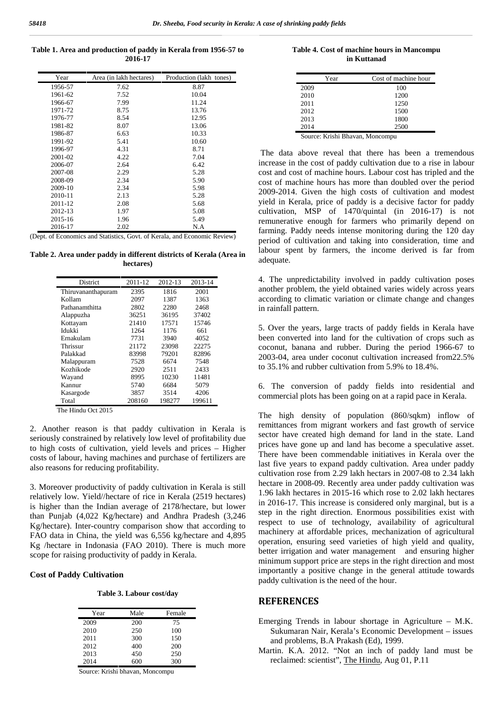**Table 1. Area and production of paddy in Kerala from 1956-57 to 2016-17**

| Year        | Area (in lakh hectares) | Production (lakh tones) |
|-------------|-------------------------|-------------------------|
| 1956-57     | 7.62                    | 8.87                    |
| 1961-62     | 7.52                    | 10.04                   |
| 1966-67     | 7.99                    | 11.24                   |
| 1971-72     | 8.75                    | 13.76                   |
| 1976-77     | 8.54                    | 12.95                   |
| 1981-82     | 8.07                    | 13.06                   |
| 1986-87     | 6.63                    | 10.33                   |
| 1991-92     | 5.41                    | 10.60                   |
| 1996-97     | 4.31                    | 8.71                    |
| 2001-02     | 4.22                    | 7.04                    |
| 2006-07     | 2.64                    | 6.42                    |
| 2007-08     | 2.29                    | 5.28                    |
| 2008-09     | 2.34                    | 5.90                    |
| 2009-10     | 2.34                    | 5.98                    |
| $2010 - 11$ | 2.13                    | 5.28                    |
| 2011-12     | 2.08                    | 5.68                    |
| 2012-13     | 1.97                    | 5.08                    |
| 2015-16     | 1.96                    | 5.49                    |
| 2016-17     | 2.02                    | N.A                     |

(Dept. of Economics and Statistics, Govt. of Kerala, and Economic Review)

**Table 2. Area under paddy in different districts of Kerala (Area in hectares)**

| <b>District</b>    | 2011-12 | 2012-13 | 2013-14 |
|--------------------|---------|---------|---------|
| Thiruvananthapuram | 2395    | 1816    | 2001    |
| Kollam             | 2097    | 1387    | 1363    |
| Pathanamthitta     | 2802    | 2280    | 2468    |
| Alappuzha          | 36251   | 36195   | 37402   |
| Kottayam           | 21410   | 17571   | 15746   |
| Idukki             | 1264    | 1176    | 661     |
| Ernakulam          | 7731    | 3940    | 4052    |
| Thrissur           | 21172   | 23098   | 22275   |
| Palakkad           | 83998   | 79201   | 82896   |
| Malappuram         | 7528    | 6674    | 7548    |
| Kozhikode          | 2920    | 2511    | 2433    |
| Wayand             | 8995    | 10230   | 11481   |
| Kannur             | 5740    | 6684    | 5079    |
| Kasargode          | 3857    | 3514    | 4206    |
| Total              | 208160  | 198277  | 199611  |

The Hindu Oct 2015

2. Another reason is that paddy cultivation in Kerala is seriously constrained by relatively low level of profitability due to high costs of cultivation, yield levels and prices – Higher costs of labour, having machines and purchase of fertilizers are also reasons for reducing profitability.

3. Moreover productivity of paddy cultivation in Kerala is still relatively low. Yield//hectare of rice in Kerala (2519 hectares) is higher than the Indian average of 2178/hectare, but lower than Punjab (4,022 Kg/hectare) and Andhra Pradesh (3,246 Kg/hectare). Inter-country comparison show that according to FAO data in China, the yield was 6,556 kg/hectare and 4,895 Kg /hectare in Indonasia (FAO 2010). There is much more scope for raising productivity of paddy in Kerala.

#### **Cost of Paddy Cultivation**

**Table 3. Labour cost/day**

| Year | Male | Female |
|------|------|--------|
| 2009 | 200  | 75     |
| 2010 | 250  | 100    |
| 2011 | 300  | 150    |
| 2012 | 400  | 200    |
| 2013 | 450  | 250    |
| 2014 | 600  | 300    |

Source: Krishi bhavan, Moncompu

**Table 4. Cost of machine hours in Mancompu in Kuttanad**

| Year | Cost of machine hour |
|------|----------------------|
| 2009 | 100                  |
| 2010 | 1200                 |
| 2011 | 1250                 |
| 2012 | 1500                 |
| 2013 | 1800                 |
| 2014 | 2500                 |
| .    |                      |

Source: Krishi Bhavan, Moncompu

The data above reveal that there has been a tremendous increase in the cost of paddy cultivation due to a rise in labour cost and cost of machine hours. Labour cost has tripled and the cost of machine hours has more than doubled over the period 2009-2014. Given the high costs of cultivation and modest yield in Kerala, price of paddy is a decisive factor for paddy cultivation, MSP of 1470/quintal (in 2016-17) is not remunerative enough for farmers who primarily depend on farming. Paddy needs intense monitoring during the 120 day period of cultivation and taking into consideration, time and labour spent by farmers, the income derived is far from adequate.

4. The unpredictability involved in paddy cultivation poses another problem, the yield obtained varies widely across years according to climatic variation or climate change and changes in rainfall pattern.

5. Over the years, large tracts of paddy fields in Kerala have been converted into land for the cultivation of crops such as coconut, banana and rubber. During the period 1966-67 to 2003-04, area under coconut cultivation increased from22.5% to 35.1% and rubber cultivation from 5.9% to 18.4%.

6. The conversion of paddy fields into residential and commercial plots has been going on at a rapid pace in Kerala.

The high density of population (860/sqkm) inflow of remittances from migrant workers and fast growth of service sector have created high demand for land in the state. Land prices have gone up and land has become a speculative asset. There have been commendable initiatives in Kerala over the last five years to expand paddy cultivation. Area under paddy cultivation rose from 2.29 lakh hectars in 2007-08 to 2.34 lakh hectare in 2008-09. Recently area under paddy cultivation was 1.96 lakh hectares in 2015-16 which rose to 2.02 lakh hectares in 2016-17. This increase is considered only marginal, but is a step in the right direction. Enormous possibilities exist with respect to use of technology, availability of agricultural machinery at affordable prices, mechanization of agricultural operation, ensuring seed varieties of high yield and quality, better irrigation and water management and ensuring higher minimum support price are steps in the right direction and most importantly a positive change in the general attitude towards paddy cultivation is the need of the hour.

## **REFERENCES**

- Emerging Trends in labour shortage in Agriculture M.K. Sukumaran Nair, Kerala's Economic Development – issues and problems, B.A Prakash (Ed), 1999.
- Martin. K.A. 2012. "Not an inch of paddy land must be reclaimed: scientist", The Hindu, Aug 01, P.11